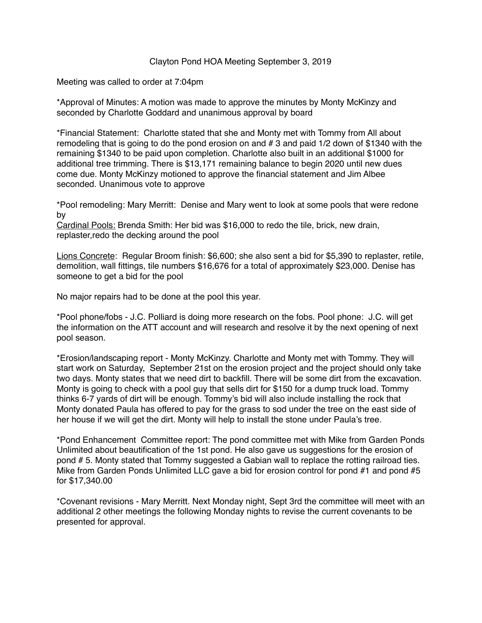## Clayton Pond HOA Meeting September 3, 2019

Meeting was called to order at 7:04pm

\*Approval of Minutes: A motion was made to approve the minutes by Monty McKinzy and seconded by Charlotte Goddard and unanimous approval by board

\*Financial Statement: Charlotte stated that she and Monty met with Tommy from All about remodeling that is going to do the pond erosion on and # 3 and paid 1/2 down of \$1340 with the remaining \$1340 to be paid upon completion. Charlotte also built in an additional \$1000 for additional tree trimming. There is \$13,171 remaining balance to begin 2020 until new dues come due. Monty McKinzy motioned to approve the financial statement and Jim Albee seconded. Unanimous vote to approve

\*Pool remodeling: Mary Merritt: Denise and Mary went to look at some pools that were redone by

Cardinal Pools: Brenda Smith: Her bid was \$16,000 to redo the tile, brick, new drain, replaster,redo the decking around the pool

Lions Concrete: Regular Broom finish: \$6,600; she also sent a bid for \$5,390 to replaster, retile, demolition, wall fittings, tile numbers \$16,676 for a total of approximately \$23,000. Denise has someone to get a bid for the pool

No major repairs had to be done at the pool this year.

\*Pool phone/fobs - J.C. Polliard is doing more research on the fobs. Pool phone: J.C. will get the information on the ATT account and will research and resolve it by the next opening of next pool season.

\*Erosion/landscaping report - Monty McKinzy. Charlotte and Monty met with Tommy. They will start work on Saturday, September 21st on the erosion project and the project should only take two days. Monty states that we need dirt to backfill. There will be some dirt from the excavation. Monty is going to check with a pool guy that sells dirt for \$150 for a dump truck load. Tommy thinks 6-7 yards of dirt will be enough. Tommy's bid will also include installing the rock that Monty donated Paula has offered to pay for the grass to sod under the tree on the east side of her house if we will get the dirt. Monty will help to install the stone under Paula's tree.

\*Pond Enhancement Committee report: The pond committee met with Mike from Garden Ponds Unlimited about beautification of the 1st pond. He also gave us suggestions for the erosion of pond # 5. Monty stated that Tommy suggested a Gabian wall to replace the rotting railroad ties. Mike from Garden Ponds Unlimited LLC gave a bid for erosion control for pond #1 and pond #5 for \$17,340.00

\*Covenant revisions - Mary Merritt. Next Monday night, Sept 3rd the committee will meet with an additional 2 other meetings the following Monday nights to revise the current covenants to be presented for approval.